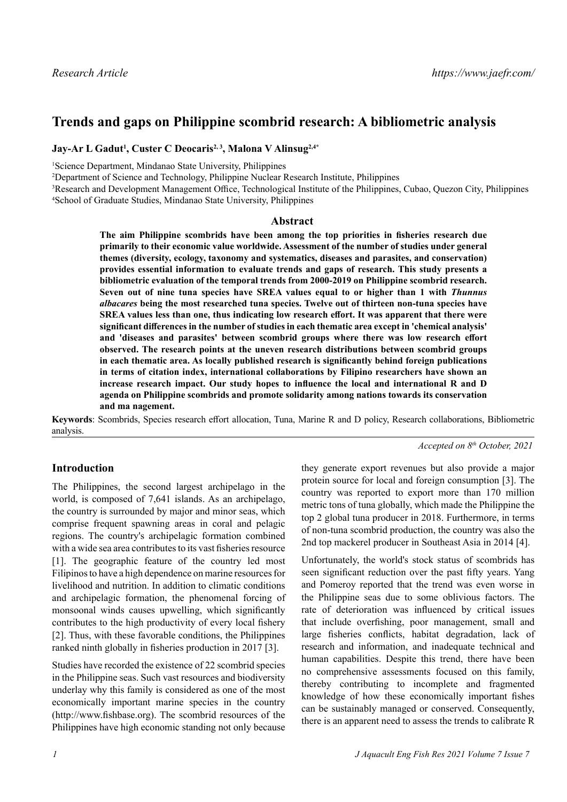# **Trends and gaps on Philippine scombrid research: A bibliometric analysis**

**Jay-Ar L Gadut1 , Custer C Deocaris2, 3, Malona V Alinsug2,4\***

1 Science Department, Mindanao State University, Philippines

2 Department of Science and Technology, Philippine Nuclear Research Institute, Philippines

3 Research and Development Management Office, Technological Institute of the Philippines, Cubao, Quezon City, Philippines 4 School of Graduate Studies, Mindanao State University, Philippines

#### **Abstract**

**The aim Philippine scombrids have been among the top priorities in fisheries research due primarily to their economic value worldwide. Assessment of the number of studies under general themes (diversity, ecology, taxonomy and systematics, diseases and parasites, and conservation) provides essential information to evaluate trends and gaps of research. This study presents a bibliometric evaluation of the temporal trends from 2000-2019 on Philippine scombrid research. Seven out of nine tuna species have SREA values equal to or higher than 1 with** *Thunnus albacares* **being the most researched tuna species. Twelve out of thirteen non-tuna species have SREA values less than one, thus indicating low research effort. It was apparent that there were significant differences in the number of studies in each thematic area except in 'chemical analysis' and 'diseases and parasites' between scombrid groups where there was low research effort observed. The research points at the uneven research distributions between scombrid groups in each thematic area. As locally published research is significantly behind foreign publications in terms of citation index, international collaborations by Filipino researchers have shown an increase research impact. Our study hopes to influence the local and international R and D agenda on Philippine scombrids and promote solidarity among nations towards its conservation and ma nagement.**

**Keywords**: Scombrids, Species research effort allocation, Tuna, Marine R and D policy, Research collaborations, Bibliometric analysis.

*Accepted on 8th October, 2021*

# **Introduction**

The Philippines, the second largest archipelago in the world, is composed of 7,641 islands. As an archipelago, the country is surrounded by major and minor seas, which comprise frequent spawning areas in coral and pelagic regions. The country's archipelagic formation combined with a wide sea area contributes to its vast fisheries resource [1]. The geographic feature of the country led most Filipinos to have a high dependence on marine resources for livelihood and nutrition. In addition to climatic conditions and archipelagic formation, the phenomenal forcing of monsoonal winds causes upwelling, which significantly contributes to the high productivity of every local fishery [2]. Thus, with these favorable conditions, the Philippines ranked ninth globally in fisheries production in 2017 [3].

Studies have recorded the existence of 22 scombrid species in the Philippine seas. Such vast resources and biodiversity underlay why this family is considered as one of the most economically important marine species in the country (http://www.fishbase.org). The scombrid resources of the Philippines have high economic standing not only because

they generate export revenues but also provide a major protein source for local and foreign consumption [3]. The country was reported to export more than 170 million metric tons of tuna globally, which made the Philippine the top 2 global tuna producer in 2018. Furthermore, in terms of non-tuna scombrid production, the country was also the 2nd top mackerel producer in Southeast Asia in 2014 [4].

Unfortunately, the world's stock status of scombrids has seen significant reduction over the past fifty years. Yang and Pomeroy reported that the trend was even worse in the Philippine seas due to some oblivious factors. The rate of deterioration was influenced by critical issues that include overfishing, poor management, small and large fisheries conflicts, habitat degradation, lack of research and information, and inadequate technical and human capabilities. Despite this trend, there have been no comprehensive assessments focused on this family, thereby contributing to incomplete and fragmented knowledge of how these economically important fishes can be sustainably managed or conserved. Consequently, there is an apparent need to assess the trends to calibrate R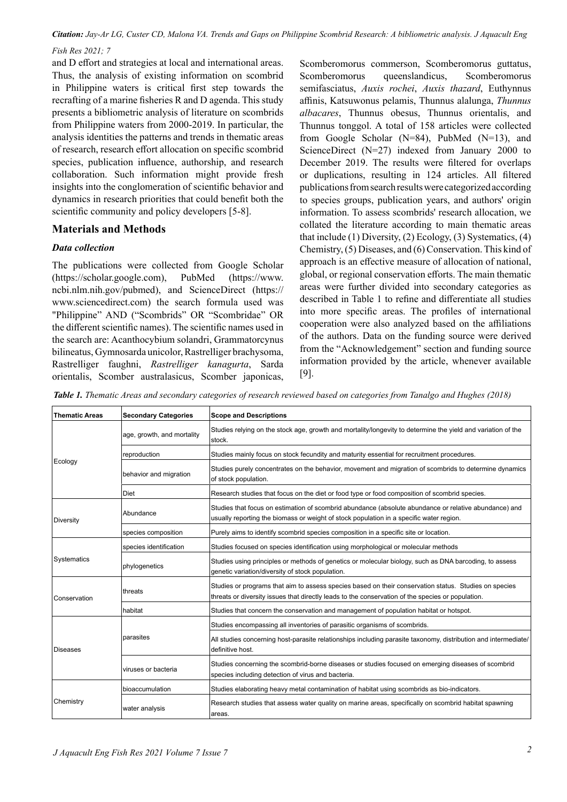*Citation: Jay-Ar LG, Custer CD, Malona VA. Trends and Gaps on Philippine Scombrid Research: A bibliometric analysis. J Aquacult Eng Fish Res 2021; 7*

and D effort and strategies at local and international areas. Thus, the analysis of existing information on scombrid in Philippine waters is critical first step towards the recrafting of a marine fisheries R and D agenda. This study presents a bibliometric analysis of literature on scombrids from Philippine waters from 2000-2019. In particular, the analysis identities the patterns and trends in thematic areas of research, research effort allocation on specific scombrid species, publication influence, authorship, and research collaboration. Such information might provide fresh insights into the conglomeration of scientific behavior and dynamics in research priorities that could benefit both the scientific community and policy developers [5-8].

### **Materials and Methods**

### *Data collection*

The publications were collected from Google Scholar (https://scholar.google.com), PubMed (https://www. ncbi.nlm.nih.gov/pubmed), and ScienceDirect (https:// www.sciencedirect.com) the search formula used was "Philippine" AND ("Scombrids" OR "Scombridae" OR the different scientific names). The scientific names used in the search are: Acanthocybium solandri, Grammatorcynus bilineatus, Gymnosarda unicolor, Rastrelliger brachysoma, Rastrelliger faughni, *Rastrelliger kanagurta*, Sarda orientalis, Scomber australasicus, Scomber japonicas,

Scomberomorus commerson, Scomberomorus guttatus, Scomberomorus queenslandicus, Scomberomorus semifasciatus, *Auxis rochei*, *Auxis thazard*, Euthynnus affinis, Katsuwonus pelamis, Thunnus alalunga, *Thunnus albacares*, Thunnus obesus, Thunnus orientalis, and Thunnus tonggol. A total of 158 articles were collected from Google Scholar (N=84), PubMed (N=13), and ScienceDirect (N=27) indexed from January 2000 to December 2019. The results were filtered for overlaps or duplications, resulting in 124 articles. All filtered publications from search results were categorized according to species groups, publication years, and authors' origin information. To assess scombrids' research allocation, we collated the literature according to main thematic areas that include (1) Diversity, (2) Ecology, (3) Systematics, (4) Chemistry, (5) Diseases, and (6) Conservation. This kind of approach is an effective measure of allocation of national, global, or regional conservation efforts. The main thematic areas were further divided into secondary categories as described in Table 1 to refine and differentiate all studies into more specific areas. The profiles of international cooperation were also analyzed based on the affiliations of the authors. Data on the funding source were derived from the "Acknowledgement" section and funding source information provided by the article, whenever available [9].

*Table 1. Thematic Areas and secondary categories of research reviewed based on categories from Tanalgo and Hughes (2018)*

| <b>Thematic Areas</b> | <b>Secondary Categories</b> | <b>Scope and Descriptions</b>                                                                                                                                                                              |
|-----------------------|-----------------------------|------------------------------------------------------------------------------------------------------------------------------------------------------------------------------------------------------------|
| Ecology               | age, growth, and mortality  | Studies relying on the stock age, growth and mortality/longevity to determine the yield and variation of the<br>stock.                                                                                     |
|                       | reproduction                | Studies mainly focus on stock fecundity and maturity essential for recruitment procedures.                                                                                                                 |
|                       | behavior and migration      | Studies purely concentrates on the behavior, movement and migration of scombrids to determine dynamics<br>of stock population.                                                                             |
|                       | Diet                        | Research studies that focus on the diet or food type or food composition of scombrid species.                                                                                                              |
| Diversity             | Abundance                   | Studies that focus on estimation of scombrid abundance (absolute abundance or relative abundance) and<br>usually reporting the biomass or weight of stock population in a specific water region.           |
|                       | species composition         | Purely aims to identify scombrid species composition in a specific site or location.                                                                                                                       |
|                       | species identification      | Studies focused on species identification using morphological or molecular methods                                                                                                                         |
| Systematics           | phylogenetics               | Studies using principles or methods of genetics or molecular biology, such as DNA barcoding, to assess<br>genetic variation/diversity of stock population.                                                 |
| Conservation          | threats                     | Studies or programs that aim to assess species based on their conservation status. Studies on species<br>threats or diversity issues that directly leads to the conservation of the species or population. |
|                       | habitat                     | Studies that concern the conservation and management of population habitat or hotspot.                                                                                                                     |
|                       |                             | Studies encompassing all inventories of parasitic organisms of scombrids.                                                                                                                                  |
| Diseases              | parasites                   | All studies concerning host-parasite relationships including parasite taxonomy, distribution and intermediate/<br>definitive host.                                                                         |
|                       | viruses or bacteria         | Studies concerning the scombrid-borne diseases or studies focused on emerging diseases of scombrid<br>species including detection of virus and bacteria.                                                   |
|                       | bioaccumulation             | Studies elaborating heavy metal contamination of habitat using scombrids as bio-indicators.                                                                                                                |
| Chemistry             | water analysis              | Research studies that assess water quality on marine areas, specifically on scombrid habitat spawning<br>areas.                                                                                            |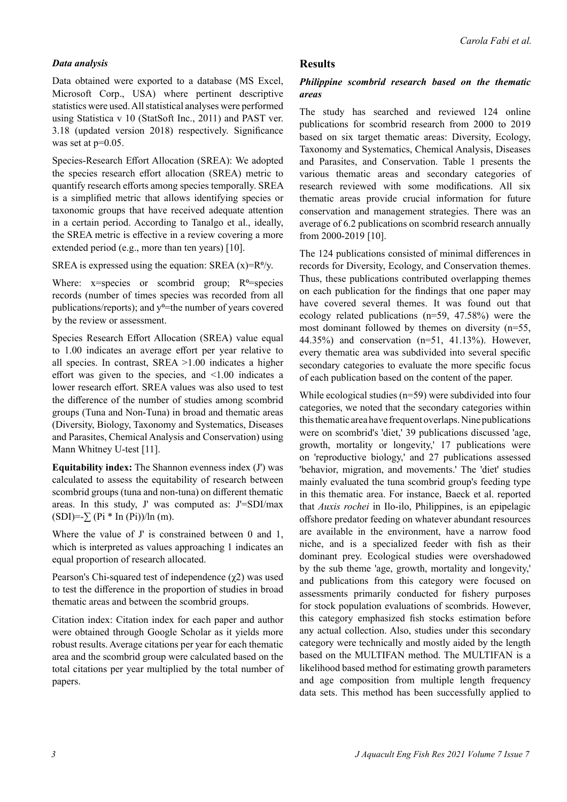### *Data analysis*

Data obtained were exported to a database (MS Excel, Microsoft Corp., USA) where pertinent descriptive statistics were used. All statistical analyses were performed using Statistica v 10 (StatSoft Inc., 2011) and PAST ver. 3.18 (updated version 2018) respectively. Significance was set at  $p=0.05$ .

Species-Research Effort Allocation (SREA): We adopted the species research effort allocation (SREA) metric to quantify research efforts among species temporally. SREA is a simplified metric that allows identifying species or taxonomic groups that have received adequate attention in a certain period. According to Tanalgo et al., ideally, the SREA metric is effective in a review covering a more extended period (e.g., more than ten years) [10].

SREA is expressed using the equation: SREA  $(x)=R^0/y$ .

Where:  $x = species$  or scombrid group;  $R<sup>0</sup>=species$ records (number of times species was recorded from all publications/reports); and  $y^0$ =the number of years covered by the review or assessment.

Species Research Effort Allocation (SREA) value equal to 1.00 indicates an average effort per year relative to all species. In contrast, SREA >1.00 indicates a higher effort was given to the species, and <1.00 indicates a lower research effort. SREA values was also used to test the difference of the number of studies among scombrid groups (Tuna and Non-Tuna) in broad and thematic areas (Diversity, Biology, Taxonomy and Systematics, Diseases and Parasites, Chemical Analysis and Conservation) using Mann Whitney U-test [11].

**Equitability index:** The Shannon evenness index (J') was calculated to assess the equitability of research between scombrid groups (tuna and non-tuna) on different thematic areas. In this study, J' was computed as: J'=SDI/max  $(SDI) = \sum (Pi * In (Pi)) / In (m).$ 

Where the value of J' is constrained between 0 and 1, which is interpreted as values approaching 1 indicates an equal proportion of research allocated.

Pearson's Chi-squared test of independence  $(\chi^2)$  was used to test the difference in the proportion of studies in broad thematic areas and between the scombrid groups.

Citation index: Citation index for each paper and author were obtained through Google Scholar as it yields more robust results. Average citations per year for each thematic area and the scombrid group were calculated based on the total citations per year multiplied by the total number of papers.

### **Results**

### *Philippine scombrid research based on the thematic areas*

The study has searched and reviewed 124 online publications for scombrid research from 2000 to 2019 based on six target thematic areas: Diversity, Ecology, Taxonomy and Systematics, Chemical Analysis, Diseases and Parasites, and Conservation. Table 1 presents the various thematic areas and secondary categories of research reviewed with some modifications. All six thematic areas provide crucial information for future conservation and management strategies. There was an average of 6.2 publications on scombrid research annually from 2000-2019 [10].

The 124 publications consisted of minimal differences in records for Diversity, Ecology, and Conservation themes. Thus, these publications contributed overlapping themes on each publication for the findings that one paper may have covered several themes. It was found out that ecology related publications (n=59, 47.58%) were the most dominant followed by themes on diversity (n=55, 44.35%) and conservation (n=51, 41.13%). However, every thematic area was subdivided into several specific secondary categories to evaluate the more specific focus of each publication based on the content of the paper.

While ecological studies (n=59) were subdivided into four categories, we noted that the secondary categories within this thematic area have frequent overlaps. Nine publications were on scombrid's 'diet,' 39 publications discussed 'age, growth, mortality or longevity,' 17 publications were on 'reproductive biology,' and 27 publications assessed 'behavior, migration, and movements.' The 'diet' studies mainly evaluated the tuna scombrid group's feeding type in this thematic area. For instance, Baeck et al. reported that *Auxis rochei* in Ilo-ilo, Philippines, is an epipelagic offshore predator feeding on whatever abundant resources are available in the environment, have a narrow food niche, and is a specialized feeder with fish as their dominant prey. Ecological studies were overshadowed by the sub theme 'age, growth, mortality and longevity,' and publications from this category were focused on assessments primarily conducted for fishery purposes for stock population evaluations of scombrids. However, this category emphasized fish stocks estimation before any actual collection. Also, studies under this secondary category were technically and mostly aided by the length based on the MULTIFAN method. The MULTIFAN is a likelihood based method for estimating growth parameters and age composition from multiple length frequency data sets. This method has been successfully applied to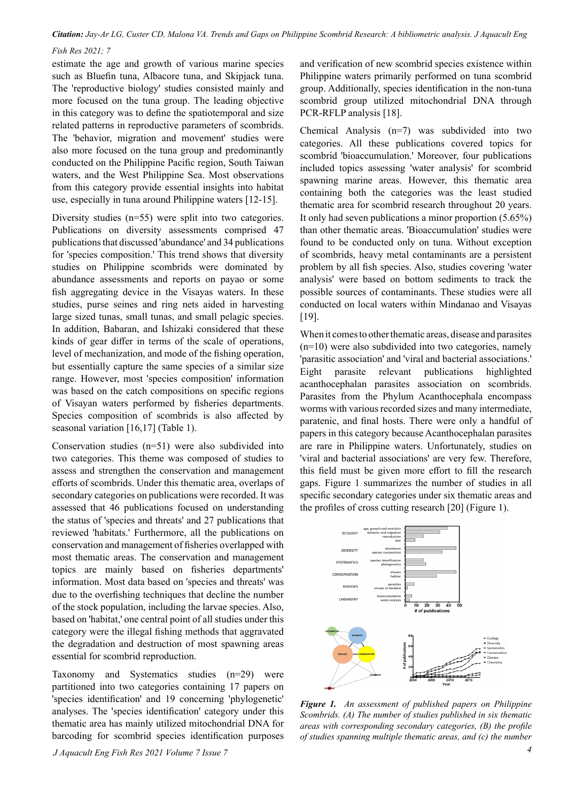*Citation: Jay-Ar LG, Custer CD, Malona VA. Trends and Gaps on Philippine Scombrid Research: A bibliometric analysis. J Aquacult Eng Fish Res 2021; 7*

estimate the age and growth of various marine species such as Bluefin tuna, Albacore tuna, and Skipjack tuna. The 'reproductive biology' studies consisted mainly and more focused on the tuna group. The leading objective in this category was to define the spatiotemporal and size related patterns in reproductive parameters of scombrids. The 'behavior, migration and movement' studies were also more focused on the tuna group and predominantly conducted on the Philippine Pacific region, South Taiwan waters, and the West Philippine Sea. Most observations from this category provide essential insights into habitat use, especially in tuna around Philippine waters [12-15].

Diversity studies (n=55) were split into two categories. Publications on diversity assessments comprised 47 publications that discussed 'abundance' and 34 publications for 'species composition.' This trend shows that diversity studies on Philippine scombrids were dominated by abundance assessments and reports on payao or some fish aggregating device in the Visayas waters. In these studies, purse seines and ring nets aided in harvesting large sized tunas, small tunas, and small pelagic species. In addition, Babaran, and Ishizaki considered that these kinds of gear differ in terms of the scale of operations, level of mechanization, and mode of the fishing operation, but essentially capture the same species of a similar size range. However, most 'species composition' information was based on the catch compositions on specific regions of Visayan waters performed by fisheries departments. Species composition of scombrids is also affected by seasonal variation [16,17] (Table 1).

Conservation studies (n=51) were also subdivided into two categories. This theme was composed of studies to assess and strengthen the conservation and management efforts of scombrids. Under this thematic area, overlaps of secondary categories on publications were recorded. It was assessed that 46 publications focused on understanding the status of 'species and threats' and 27 publications that reviewed 'habitats.' Furthermore, all the publications on conservation and management of fisheries overlapped with most thematic areas. The conservation and management topics are mainly based on fisheries departments' information. Most data based on 'species and threats' was due to the overfishing techniques that decline the number of the stock population, including the larvae species. Also, based on 'habitat,' one central point of all studies under this category were the illegal fishing methods that aggravated the degradation and destruction of most spawning areas essential for scombrid reproduction.

Taxonomy and Systematics studies (n=29) were partitioned into two categories containing 17 papers on 'species identification' and 19 concerning 'phylogenetic' analyses. The 'species identification' category under this thematic area has mainly utilized mitochondrial DNA for barcoding for scombrid species identification purposes

*J Aquacult Eng Fish Res 2021 Volume 7 Issue 7 4*

and verification of new scombrid species existence within Philippine waters primarily performed on tuna scombrid group. Additionally, species identification in the non-tuna scombrid group utilized mitochondrial DNA through PCR-RFLP analysis [18].

Chemical Analysis (n=7) was subdivided into two categories. All these publications covered topics for scombrid 'bioaccumulation.' Moreover, four publications included topics assessing 'water analysis' for scombrid spawning marine areas. However, this thematic area containing both the categories was the least studied thematic area for scombrid research throughout 20 years. It only had seven publications a minor proportion (5.65%) than other thematic areas. 'Bioaccumulation' studies were found to be conducted only on tuna. Without exception of scombrids, heavy metal contaminants are a persistent problem by all fish species. Also, studies covering 'water analysis' were based on bottom sediments to track the possible sources of contaminants. These studies were all conducted on local waters within Mindanao and Visayas [19].

When it comes to other thematic areas, disease and parasites (n=10) were also subdivided into two categories, namely 'parasitic association' and 'viral and bacterial associations.' Eight parasite relevant publications highlighted acanthocephalan parasites association on scombrids. Parasites from the Phylum Acanthocephala encompass worms with various recorded sizes and many intermediate, paratenic, and final hosts. There were only a handful of papers in this category because Acanthocephalan parasites are rare in Philippine waters. Unfortunately, studies on 'viral and bacterial associations' are very few. Therefore, this field must be given more effort to fill the research gaps. Figure 1 summarizes the number of studies in all specific secondary categories under six thematic areas and the profiles of cross cutting research [20] (Figure 1).



*Figure 1. An assessment of published papers on Philippine Scombrids. (A) The number of studies published in six thematic areas with corresponding secondary categories, (B) the profile of studies spanning multiple thematic areas, and (c) the number*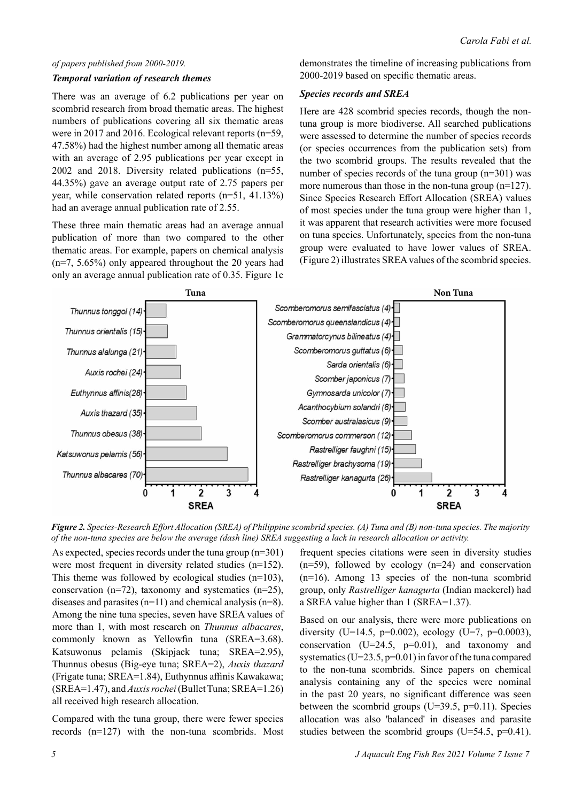### *of papers published from 2000-2019.*

#### *Temporal variation of research themes*

There was an average of 6.2 publications per year on scombrid research from broad thematic areas. The highest numbers of publications covering all six thematic areas were in 2017 and 2016. Ecological relevant reports (n=59, 47.58%) had the highest number among all thematic areas with an average of 2.95 publications per year except in 2002 and 2018. Diversity related publications (n=55, 44.35%) gave an average output rate of 2.75 papers per year, while conservation related reports (n=51, 41.13%) had an average annual publication rate of 2.55.

These three main thematic areas had an average annual publication of more than two compared to the other thematic areas. For example, papers on chemical analysis (n=7, 5.65%) only appeared throughout the 20 years had only an average annual publication rate of 0.35. Figure 1c

demonstrates the timeline of increasing publications from 2000-2019 based on specific thematic areas.

#### *Species records and SREA*

Here are 428 scombrid species records, though the nontuna group is more biodiverse. All searched publications were assessed to determine the number of species records (or species occurrences from the publication sets) from the two scombrid groups. The results revealed that the number of species records of the tuna group (n=301) was more numerous than those in the non-tuna group  $(n=127)$ . Since Species Research Effort Allocation (SREA) values of most species under the tuna group were higher than 1, it was apparent that research activities were more focused on tuna species. Unfortunately, species from the non-tuna group were evaluated to have lower values of SREA. (Figure 2) illustrates SREA values of the scombrid species.



*Figure 2. Species-Research Effort Allocation (SREA) of Philippine scombrid species. (A) Tuna and (B) non-tuna species. The majority of the non-tuna species are below the average (dash line) SREA suggesting a lack in research allocation or activity.*

As expected, species records under the tuna group (n=301) were most frequent in diversity related studies (n=152). This theme was followed by ecological studies (n=103), conservation (n=72), taxonomy and systematics (n=25), diseases and parasites  $(n=11)$  and chemical analysis  $(n=8)$ . Among the nine tuna species, seven have SREA values of more than 1, with most research on *Thunnus albacares*, commonly known as Yellowfin tuna (SREA=3.68). Katsuwonus pelamis (Skipjack tuna; SREA=2.95), Thunnus obesus (Big-eye tuna; SREA=2), *Auxis thazard* (Frigate tuna; SREA=1.84), Euthynnus affinis Kawakawa; (SREA=1.47), and *Auxis rochei* (Bullet Tuna; SREA=1.26) all received high research allocation.

Compared with the tuna group, there were fewer species records (n=127) with the non-tuna scombrids. Most

frequent species citations were seen in diversity studies  $(n=59)$ , followed by ecology  $(n=24)$  and conservation (n=16). Among 13 species of the non-tuna scombrid group, only *Rastrelliger kanagurta* (Indian mackerel) had a SREA value higher than 1 (SREA=1.37).

Based on our analysis, there were more publications on diversity (U=14.5, p=0.002), ecology (U=7, p=0.0003), conservation ( $U=24.5$ ,  $p=0.01$ ), and taxonomy and systematics ( $U=23.5$ ,  $p=0.01$ ) in favor of the tuna compared to the non-tuna scombrids. Since papers on chemical analysis containing any of the species were nominal in the past 20 years, no significant difference was seen between the scombrid groups (U=39.5,  $p=0.11$ ). Species allocation was also 'balanced' in diseases and parasite studies between the scombrid groups (U=54.5, p=0.41).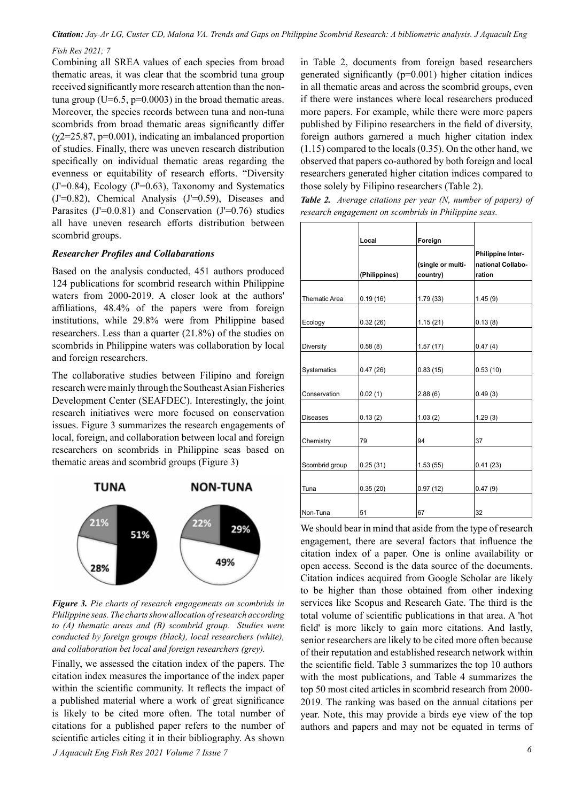*Citation: Jay-Ar LG, Custer CD, Malona VA. Trends and Gaps on Philippine Scombrid Research: A bibliometric analysis. J Aquacult Eng Fish Res 2021; 7*

Combining all SREA values of each species from broad thematic areas, it was clear that the scombrid tuna group received significantly more research attention than the nontuna group (U=6.5,  $p=0.0003$ ) in the broad thematic areas. Moreover, the species records between tuna and non-tuna scombrids from broad thematic areas significantly differ  $(\chi$ 2=25.87, p=0.001), indicating an imbalanced proportion of studies. Finally, there was uneven research distribution specifically on individual thematic areas regarding the evenness or equitability of research efforts. "Diversity  $(J=0.84)$ , Ecology  $(J=0.63)$ , Taxonomy and Systematics (J'=0.82), Chemical Analysis (J'=0.59), Diseases and Parasites  $(J'=0.0.81)$  and Conservation  $(J'=0.76)$  studies all have uneven research efforts distribution between scombrid groups.

#### *Researcher Profiles and Collabarations*

Based on the analysis conducted, 451 authors produced 124 publications for scombrid research within Philippine waters from 2000-2019. A closer look at the authors' affiliations, 48.4% of the papers were from foreign institutions, while 29.8% were from Philippine based researchers. Less than a quarter (21.8%) of the studies on scombrids in Philippine waters was collaboration by local and foreign researchers.

The collaborative studies between Filipino and foreign research were mainly through the Southeast Asian Fisheries Development Center (SEAFDEC). Interestingly, the joint research initiatives were more focused on conservation issues. Figure 3 summarizes the research engagements of local, foreign, and collaboration between local and foreign researchers on scombrids in Philippine seas based on thematic areas and scombrid groups (Figure 3)



*Figure 3. Pie charts of research engagements on scombrids in Philippine seas. The charts show allocation of research according to (A) thematic areas and (B) scombrid group. Studies were conducted by foreign groups (black), local researchers (white), and collaboration bet local and foreign researchers (grey).*

*J Aquacult Eng Fish Res 2021 Volume 7 Issue 7 6* Finally, we assessed the citation index of the papers. The citation index measures the importance of the index paper within the scientific community. It reflects the impact of a published material where a work of great significance is likely to be cited more often. The total number of citations for a published paper refers to the number of scientific articles citing it in their bibliography. As shown

in Table 2, documents from foreign based researchers generated significantly (p=0.001) higher citation indices in all thematic areas and across the scombrid groups, even if there were instances where local researchers produced more papers. For example, while there were more papers published by Filipino researchers in the field of diversity, foreign authors garnered a much higher citation index (1.15) compared to the locals (0.35). On the other hand, we observed that papers co-authored by both foreign and local researchers generated higher citation indices compared to those solely by Filipino researchers (Table 2).

*Table 2. Average citations per year (N, number of papers) of research engagement on scombrids in Philippine seas.*

|                      | Local         | Foreign                       |                             |
|----------------------|---------------|-------------------------------|-----------------------------|
|                      |               |                               | Philippine Inter-           |
|                      | (Philippines) | (single or multi-<br>country) | national Collabo-<br>ration |
|                      |               |                               |                             |
| <b>Thematic Area</b> | 0.19(16)      | 1.79(33)                      | 1.45(9)                     |
|                      |               |                               |                             |
| Ecology              | 0.32(26)      | 1.15(21)                      | 0.13(8)                     |
|                      |               |                               |                             |
| Diversity            | 0.58(8)       | 1.57(17)                      | 0.47(4)                     |
|                      |               |                               |                             |
| Systematics          | 0.47(26)      | 0.83(15)                      | 0.53(10)                    |
|                      |               |                               |                             |
| Conservation         | 0.02(1)       | 2.88(6)                       | 0.49(3)                     |
|                      |               |                               |                             |
| <b>Diseases</b>      | 0.13(2)       | 1.03(2)                       | 1.29(3)                     |
|                      |               |                               |                             |
| Chemistry            | 79            | 94                            | 37                          |
|                      |               |                               |                             |
| Scombrid group       | 0.25(31)      | 1.53(55)                      | 0.41(23)                    |
|                      |               |                               |                             |
| Tuna                 | 0.35(20)      | 0.97(12)                      | 0.47(9)                     |
|                      |               |                               |                             |
| Non-Tuna             | 51            | 67                            | 32                          |

We should bear in mind that aside from the type of research engagement, there are several factors that influence the citation index of a paper. One is online availability or open access. Second is the data source of the documents. Citation indices acquired from Google Scholar are likely to be higher than those obtained from other indexing services like Scopus and Research Gate. The third is the total volume of scientific publications in that area. A 'hot field' is more likely to gain more citations. And lastly, senior researchers are likely to be cited more often because of their reputation and established research network within the scientific field. Table 3 summarizes the top 10 authors with the most publications, and Table 4 summarizes the top 50 most cited articles in scombrid research from 2000- 2019. The ranking was based on the annual citations per year. Note, this may provide a birds eye view of the top authors and papers and may not be equated in terms of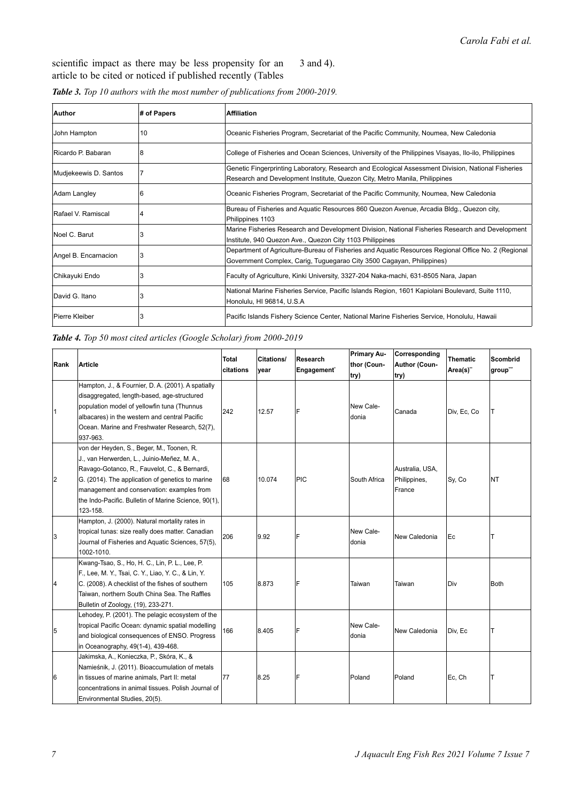scientific impact as there may be less propensity for an article to be cited or noticed if published recently (Tables 3 and 4).

| Author                | # of Papers | <b>Affiliation</b>                                                                                                                                                               |
|-----------------------|-------------|----------------------------------------------------------------------------------------------------------------------------------------------------------------------------------|
| John Hampton          | 10          | Oceanic Fisheries Program, Secretariat of the Pacific Community, Noumea, New Caledonia                                                                                           |
| Ricardo P. Babaran    | 8           | College of Fisheries and Ocean Sciences, University of the Philippines Visayas, Ilo-ilo, Philippines                                                                             |
| Mudjekeewis D. Santos |             | Genetic Fingerprinting Laboratory, Research and Ecological Assessment Division, National Fisheries<br>Research and Development Institute, Quezon City, Metro Manila, Philippines |
| Adam Langley          | 6           | Oceanic Fisheries Program, Secretariat of the Pacific Community, Noumea, New Caledonia                                                                                           |
| Rafael V. Ramiscal    |             | Bureau of Fisheries and Aquatic Resources 860 Quezon Avenue, Arcadia Bldg., Quezon city,<br>Philippines 1103                                                                     |
| Noel C. Barut         |             | Marine Fisheries Research and Development Division, National Fisheries Research and Development<br>Institute, 940 Quezon Ave., Quezon City 1103 Philippines                      |
| Angel B. Encarnacion  | 3           | Department of Agriculture-Bureau of Fisheries and Aquatic Resources Regional Office No. 2 (Regional<br>Government Complex, Carig, Tuguegarao City 3500 Cagayan, Philippines)     |
| Chikayuki Endo        |             | Faculty of Agriculture, Kinki University, 3327-204 Naka-machi, 631-8505 Nara, Japan                                                                                              |
| David G. Itano        |             | National Marine Fisheries Service, Pacific Islands Region, 1601 Kapiolani Boulevard, Suite 1110,<br>Honolulu, HI 96814, U.S.A                                                    |
| Pierre Kleiber        |             | Pacific Islands Fishery Science Center, National Marine Fisheries Service, Honolulu, Hawaii                                                                                      |

*Table 3. Top 10 authors with the most number of publications from 2000-2019.*

*Table 4. Top 50 most cited articles (Google Scholar) from 2000-2019*

| Rank | <b>Article</b>                                                                                                                                                                                                                                                                                                  | Total<br>citations | <b>Citations/</b><br>vear | Research<br>Engagement <sup>®</sup> | <b>Primary Au-</b><br>thor (Coun-<br>try) | Corresponding<br>Author (Coun-<br>try)    | Thematic<br>Area(s)" | <b>Scombrid</b><br>group" |
|------|-----------------------------------------------------------------------------------------------------------------------------------------------------------------------------------------------------------------------------------------------------------------------------------------------------------------|--------------------|---------------------------|-------------------------------------|-------------------------------------------|-------------------------------------------|----------------------|---------------------------|
| 1    | Hampton, J., & Fournier, D. A. (2001). A spatially<br>disaggregated, length-based, age-structured<br>population model of yellowfin tuna (Thunnus<br>albacares) in the western and central Pacific<br>Ocean. Marine and Freshwater Research, 52(7),<br>937-963.                                                  | 242                | 12.57                     | F                                   | New Cale-<br>donia                        | Canada                                    | Div, Ec, Co          | т                         |
| 12   | von der Heyden, S., Beger, M., Toonen, R.<br>J., van Herwerden, L., Juinio-Meñez, M. A.,<br>Ravago-Gotanco, R., Fauvelot, C., & Bernardi,<br>G. (2014). The application of genetics to marine<br>management and conservation: examples from<br>the Indo-Pacific. Bulletin of Marine Science, 90(1),<br>123-158. | 68                 | 10.074                    | <b>PIC</b>                          | South Africa                              | Australia, USA,<br>Philippines,<br>France | Sy, Co               | NT                        |
| 3    | Hampton, J. (2000). Natural mortality rates in<br>tropical tunas: size really does matter. Canadian<br>Journal of Fisheries and Aquatic Sciences, 57(5),<br>1002-1010.                                                                                                                                          | 206                | 9.92                      | F                                   | New Cale-<br>donia                        | New Caledonia                             | Ec                   | т                         |
| 14   | Kwang-Tsao, S., Ho, H. C., Lin, P. L., Lee, P.<br>F., Lee, M. Y., Tsai, C. Y., Liao, Y. C., & Lin, Y.<br>C. (2008). A checklist of the fishes of southern<br>Taiwan, northern South China Sea. The Raffles<br>Bulletin of Zoology, (19), 233-271.                                                               | 105                | 8.873                     | F                                   | Taiwan                                    | Taiwan                                    | Div                  | Both                      |
| 5    | Lehodey, P. (2001). The pelagic ecosystem of the<br>tropical Pacific Ocean: dynamic spatial modelling<br>and biological consequences of ENSO. Progress<br>in Oceanography, 49(1-4), 439-468.                                                                                                                    | 166                | 8.405                     | F                                   | New Cale-<br>donia                        | New Caledonia                             | Div, Ec              | Т                         |
| 16   | Jakimska, A., Konieczka, P., Skóra, K., &<br>Namieśnik, J. (2011). Bioaccumulation of metals<br>in tissues of marine animals, Part II: metal<br>concentrations in animal tissues. Polish Journal of<br>Environmental Studies, 20(5).                                                                            | 77                 | 8.25                      | F                                   | Poland                                    | Poland                                    | Ec, Ch               | Т                         |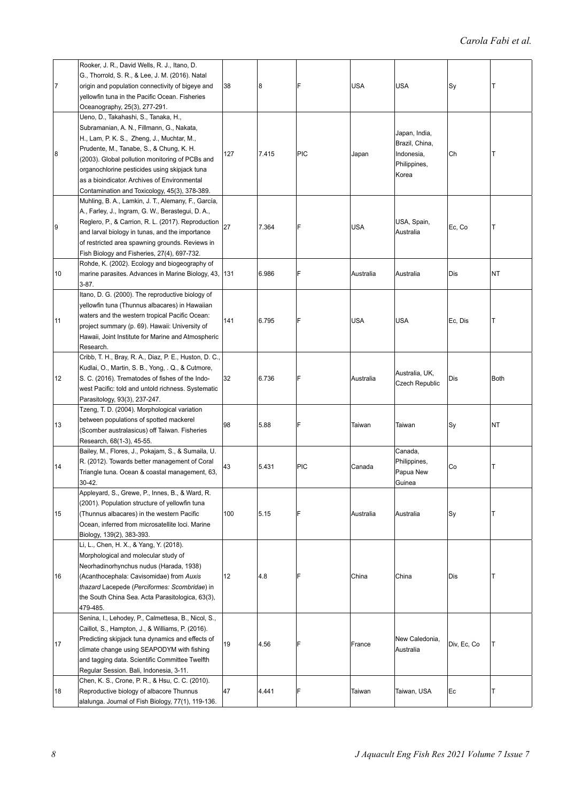| 17 | Rooker, J. R., David Wells, R. J., Itano, D.<br>G., Thorrold, S. R., & Lee, J. M. (2016). Natal<br>origin and population connectivity of bigeye and<br>yellowfin tuna in the Pacific Ocean. Fisheries<br>Oceanography, 25(3), 277-291.                                                                                                                                           | 38  | 8     | F          | <b>USA</b> | <b>USA</b>                                                             | Sy          | Τ    |
|----|----------------------------------------------------------------------------------------------------------------------------------------------------------------------------------------------------------------------------------------------------------------------------------------------------------------------------------------------------------------------------------|-----|-------|------------|------------|------------------------------------------------------------------------|-------------|------|
| 8  | Ueno, D., Takahashi, S., Tanaka, H.,<br>Subramanian, A. N., Fillmann, G., Nakata,<br>H., Lam, P. K. S., Zheng, J., Muchtar, M.,<br>Prudente, M., Tanabe, S., & Chung, K. H.<br>(2003). Global pollution monitoring of PCBs and<br>organochlorine pesticides using skipjack tuna<br>as a bioindicator. Archives of Environmental<br>Contamination and Toxicology, 45(3), 378-389. | 127 | 7.415 | <b>PIC</b> | Japan      | Japan, India,<br>Brazil, China,<br>Indonesia,<br>Philippines,<br>Korea | Ch          | Τ    |
| 9  | Muhling, B. A., Lamkin, J. T., Alemany, F., García,<br>A., Farley, J., Ingram, G. W., Berastegui, D. A.,<br>Reglero, P., & Carrion, R. L. (2017). Reproduction<br>and larval biology in tunas, and the importance<br>of restricted area spawning grounds. Reviews in<br>Fish Biology and Fisheries, 27(4), 697-732.                                                              | 27  | 7.364 | F          | USA        | USA, Spain,<br>Australia                                               | Ec, Co      | T    |
| 10 | Rohde, K. (2002). Ecology and biogeography of<br>marine parasites. Advances in Marine Biology, 43,<br>3-87.                                                                                                                                                                                                                                                                      | 131 | 6.986 | F          | Australia  | Australia                                                              | Dis         | ΝT   |
| 11 | Itano, D. G. (2000). The reproductive biology of<br>yellowfin tuna (Thunnus albacares) in Hawaiian<br>waters and the western tropical Pacific Ocean:<br>project summary (p. 69). Hawaii: University of<br>Hawaii, Joint Institute for Marine and Atmospheric<br>Research.                                                                                                        | 141 | 6.795 | F          | USA        | <b>USA</b>                                                             | Ec, Dis     | т    |
| 12 | Cribb, T. H., Bray, R. A., Diaz, P. E., Huston, D. C.,<br>Kudlai, O., Martin, S. B., Yong, . Q., & Cutmore,<br>S. C. (2016). Trematodes of fishes of the Indo-<br>west Pacific: told and untold richness. Systematic<br>Parasitology, 93(3), 237-247.                                                                                                                            | 32  | 6.736 | F          | Australia  | Australia, UK,<br>Czech Republic                                       | Dis         | Both |
| 13 | Tzeng, T. D. (2004). Morphological variation<br>between populations of spotted mackerel<br>(Scomber australasicus) off Taiwan. Fisheries<br>Research, 68(1-3), 45-55.                                                                                                                                                                                                            | 98  | 5.88  | F          | Taiwan     | Taiwan                                                                 | Sy          | NΤ   |
| 14 | Bailey, M., Flores, J., Pokajam, S., & Sumaila, U.<br>R. (2012). Towards better management of Coral<br>Triangle tuna. Ocean & coastal management, 63,<br>30-42.                                                                                                                                                                                                                  | 43  | 5.431 | PIC        | Canada     | Canada,<br>Philippines,<br>Papua New<br>Guinea                         | Co          | т    |
| 15 | Appleyard, S., Grewe, P., Innes, B., & Ward, R.<br>(2001). Population structure of yellowfin tuna<br>(Thunnus albacares) in the western Pacific<br>Ocean, inferred from microsatellite loci. Marine<br>Biology, 139(2), 383-393.                                                                                                                                                 | 100 | 5.15  | F          | Australia  | Australia                                                              | Sy          | T    |
| 16 | Li, L., Chen, H. X., & Yang, Y. (2018).<br>Morphological and molecular study of<br>Neorhadinorhynchus nudus (Harada, 1938)<br>(Acanthocephala: Cavisomidae) from Auxis<br>thazard Lacepede (Perciformes: Scombridae) in<br>the South China Sea. Acta Parasitologica, 63(3),<br>479-485.                                                                                          | 12  | 4.8   | F          | China      | China                                                                  | Dis         | T    |
| 17 | Senina, I., Lehodey, P., Calmettesa, B., Nicol, S.,<br>Caillot, S., Hampton, J., & Williams, P. (2016).<br>Predicting skipjack tuna dynamics and effects of<br>climate change using SEAPODYM with fishing<br>and tagging data. Scientific Committee Twelfth<br>Regular Session. Bali, Indonesia, 3-11.                                                                           | 19  | 4.56  | F          | France     | New Caledonia,<br>Australia                                            | Div, Ec, Co | Τ    |
| 18 | Chen, K. S., Crone, P. R., & Hsu, C. C. (2010).<br>Reproductive biology of albacore Thunnus<br>alalunga. Journal of Fish Biology, 77(1), 119-136.                                                                                                                                                                                                                                | 47  | 4.441 | F          | Taiwan     | Taiwan, USA                                                            | Ec          | Т    |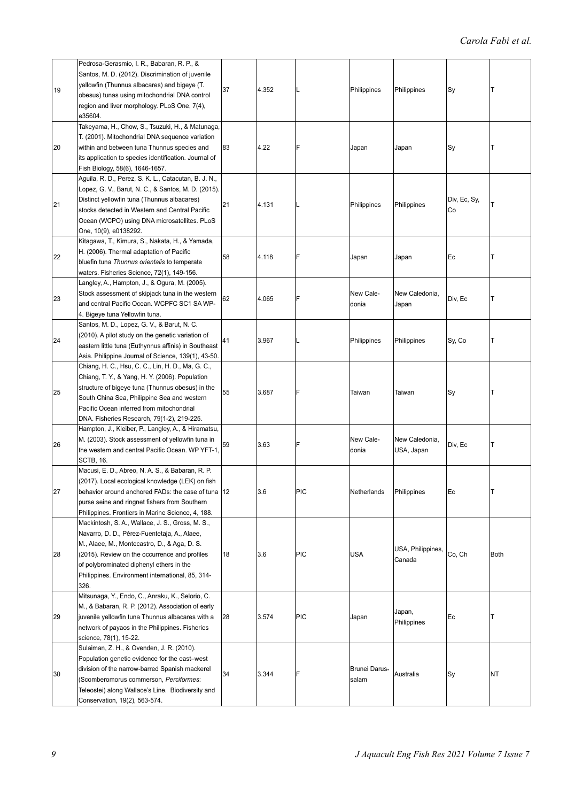| 19 | Pedrosa-Gerasmio, I. R., Babaran, R. P., &<br>Santos, M. D. (2012). Discrimination of juvenile<br>yellowfin (Thunnus albacares) and bigeye (T.<br>obesus) tunas using mitochondrial DNA control<br>region and liver morphology. PLoS One, 7(4),<br>e35604.                                                | 37 | 4.352 | L          | Philippines            | Philippines                  | Sy                 | т           |
|----|-----------------------------------------------------------------------------------------------------------------------------------------------------------------------------------------------------------------------------------------------------------------------------------------------------------|----|-------|------------|------------------------|------------------------------|--------------------|-------------|
| 20 | Takeyama, H., Chow, S., Tsuzuki, H., & Matunaga,<br>T. (2001). Mitochondrial DNA sequence variation<br>within and between tuna Thunnus species and<br>its application to species identification. Journal of<br>Fish Biology, 58(6), 1646-1657.                                                            | 83 | 4.22  | F          | Japan                  | Japan                        | Sy                 | Т           |
| 21 | Aguila, R. D., Perez, S. K. L., Catacutan, B. J. N.,<br>Lopez, G. V., Barut, N. C., & Santos, M. D. (2015).<br>Distinct yellowfin tuna (Thunnus albacares)<br>stocks detected in Western and Central Pacific<br>Ocean (WCPO) using DNA microsatellites. PLoS<br>One, 10(9), e0138292.                     | 21 | 4.131 | L          | Philippines            | Philippines                  | Div, Ec, Sy,<br>Сo | T           |
| 22 | Kitagawa, T., Kimura, S., Nakata, H., & Yamada,<br>H. (2006). Thermal adaptation of Pacific<br>bluefin tuna Thunnus orientalis to temperate<br>waters. Fisheries Science, 72(1), 149-156.                                                                                                                 | 58 | 4.118 | F          | Japan                  | Japan                        | Ec                 | Т           |
| 23 | Langley, A., Hampton, J., & Ogura, M. (2005).<br>Stock assessment of skipjack tuna in the western<br>and central Pacific Ocean. WCPFC SC1 SA WP-<br>4. Bigeye tuna Yellowfin tuna.                                                                                                                        | 62 | 4.065 | F          | New Cale-<br>donia     | New Caledonia,<br>Japan      | Div, Ec            | T           |
| 24 | Santos, M. D., Lopez, G. V., & Barut, N. C.<br>(2010). A pilot study on the genetic variation of<br>eastern little tuna (Euthynnus affinis) in Southeast<br>Asia. Philippine Journal of Science, 139(1), 43-50.                                                                                           | 41 | 3.967 | L          | Philippines            | Philippines                  | Sy, Co             | Т           |
| 25 | Chiang, H. C., Hsu, C. C., Lin, H. D., Ma, G. C.,<br>Chiang, T. Y., & Yang, H. Y. (2006). Population<br>structure of bigeye tuna (Thunnus obesus) in the<br>South China Sea, Philippine Sea and western<br>Pacific Ocean inferred from mitochondrial<br>DNA. Fisheries Research, 79(1-2), 219-225.        | 55 | 3.687 | F          | Taiwan                 | Taiwan                       | Sy                 | Т           |
| 26 | Hampton, J., Kleiber, P., Langley, A., & Hiramatsu,<br>M. (2003). Stock assessment of yellowfin tuna in<br>the western and central Pacific Ocean. WP YFT-1,<br><b>SCTB, 16.</b>                                                                                                                           | 59 | 3.63  | F          | New Cale-<br>donia     | New Caledonia.<br>USA, Japan | Div, Ec            | T           |
| 27 | Macusi, E. D., Abreo, N. A. S., & Babaran, R. P.<br>(2017). Local ecological knowledge (LEK) on fish<br>behavior around anchored FADs: the case of tuna  12<br>purse seine and ringnet fishers from Southern<br>Philippines. Frontiers in Marine Science, 4, 188.                                         |    | 3.6   | PIC        | Netherlands            | Philippines                  | Ec                 | т           |
| 28 | Mackintosh, S. A., Wallace, J. S., Gross, M. S.,<br>Navarro, D. D., Pérez-Fuentetaja, A., Alaee,<br>M., Alaee, M., Montecastro, D., & Aga, D. S.<br>(2015). Review on the occurrence and profiles<br>of polybrominated diphenyl ethers in the<br>Philippines. Environment international, 85, 314-<br>326. | 18 | 3.6   | <b>PIC</b> | USA                    | USA, Philippines,<br>Canada  | Co, Ch             | <b>Both</b> |
| 29 | Mitsunaga, Y., Endo, C., Anraku, K., Selorio, C.<br>M., & Babaran, R. P. (2012). Association of early<br>juvenile yellowfin tuna Thunnus albacares with a<br>network of payaos in the Philippines. Fisheries<br>science, 78(1), 15-22.                                                                    | 28 | 3.574 | <b>PIC</b> | Japan                  | Japan,<br>Philippines        | Ec                 | Т           |
| 30 | Sulaiman, Z. H., & Ovenden, J. R. (2010).<br>Population genetic evidence for the east-west<br>division of the narrow-barred Spanish mackerel<br>Scomberomorus commerson, Perciformes:<br>Teleostei) along Wallace's Line. Biodiversity and<br>Conservation, 19(2), 563-574.                               | 34 | 3.344 | F          | Brunei Darus-<br>salam | Australia                    | Sy                 | NT          |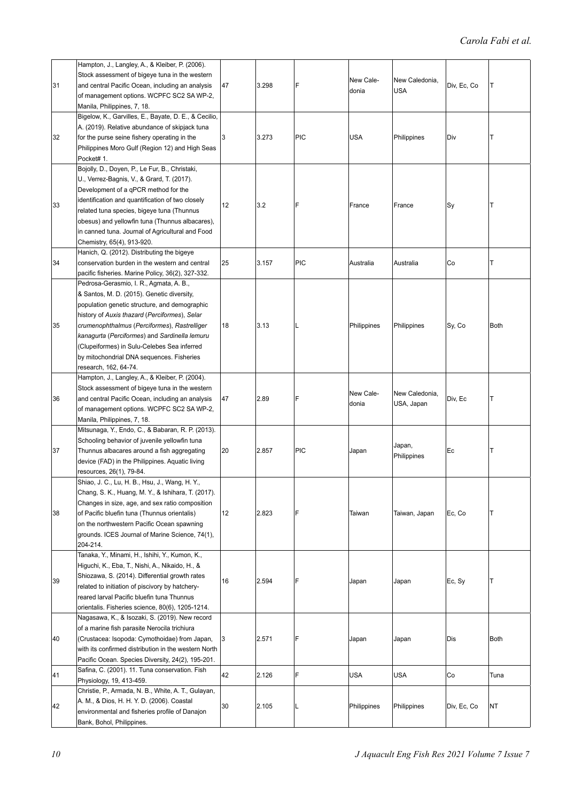|    | Hampton, J., Langley, A., & Kleiber, P. (2006).       |    |       |            |             |                |             |      |
|----|-------------------------------------------------------|----|-------|------------|-------------|----------------|-------------|------|
|    | Stock assessment of bigeye tuna in the western        |    |       |            |             |                |             |      |
| 31 | and central Pacific Ocean, including an analysis      | 47 | 3.298 | F          | New Cale-   | New Caledonia, | Div, Ec, Co | IT.  |
|    | of management options. WCPFC SC2 SA WP-2,             |    |       |            | donia       | <b>USA</b>     |             |      |
|    | Manila, Philippines, 7, 18.                           |    |       |            |             |                |             |      |
|    |                                                       |    |       |            |             |                |             |      |
|    | Bigelow, K., Garvilles, E., Bayate, D. E., & Cecilio, |    |       |            |             |                |             |      |
|    | A. (2019). Relative abundance of skipjack tuna        |    |       |            |             |                |             |      |
| 32 | for the purse seine fishery operating in the          | 3  | 3.273 | <b>PIC</b> | <b>USA</b>  | Philippines    | Div         | т    |
|    | Philippines Moro Gulf (Region 12) and High Seas       |    |       |            |             |                |             |      |
|    | Pocket# 1.                                            |    |       |            |             |                |             |      |
|    | Bojolly, D., Doyen, P., Le Fur, B., Christaki,        |    |       |            |             |                |             |      |
|    | U., Verrez-Bagnis, V., & Grard, T. (2017).            |    |       |            |             |                |             |      |
|    | Development of a qPCR method for the                  |    |       |            |             |                |             |      |
|    |                                                       |    |       |            |             |                |             |      |
| 33 | identification and quantification of two closely      | 12 | 3.2   | F          | France      | France         | Sy          | Τ    |
|    | related tuna species, bigeye tuna (Thunnus            |    |       |            |             |                |             |      |
|    | obesus) and yellowfin tuna (Thunnus albacares),       |    |       |            |             |                |             |      |
|    | in canned tuna. Journal of Agricultural and Food      |    |       |            |             |                |             |      |
|    | Chemistry, 65(4), 913-920.                            |    |       |            |             |                |             |      |
|    | Hanich, Q. (2012). Distributing the bigeye            |    |       |            |             |                |             |      |
| 34 | conservation burden in the western and central        | 25 | 3.157 | <b>PIC</b> | Australia   | Australia      | Сo          | т    |
|    | pacific fisheries. Marine Policy, 36(2), 327-332.     |    |       |            |             |                |             |      |
|    | Pedrosa-Gerasmio, I. R., Agmata, A. B.,               |    |       |            |             |                |             |      |
|    |                                                       |    |       |            |             |                |             |      |
|    | & Santos, M. D. (2015). Genetic diversity,            |    |       |            |             |                |             |      |
|    | population genetic structure, and demographic         |    |       |            |             |                |             |      |
|    | history of Auxis thazard (Perciformes), Selar         |    |       |            |             |                |             |      |
| 35 | crumenophthalmus (Perciformes), Rastrelliger          | 18 | 3.13  | L          | Philippines | Philippines    | Sy, Co      | Both |
|    | kanagurta (Perciformes) and Sardinella lemuru         |    |       |            |             |                |             |      |
|    | (Clupeiformes) in Sulu-Celebes Sea inferred           |    |       |            |             |                |             |      |
|    | by mitochondrial DNA sequences. Fisheries             |    |       |            |             |                |             |      |
|    | research, 162, 64-74.                                 |    |       |            |             |                |             |      |
|    | Hampton, J., Langley, A., & Kleiber, P. (2004).       |    |       |            |             |                |             |      |
|    |                                                       |    |       |            |             |                |             |      |
|    | Stock assessment of bigeye tuna in the western        |    |       |            | New Cale-   | New Caledonia, |             |      |
| 36 | and central Pacific Ocean, including an analysis      | 47 | 2.89  | F          | donia       | USA, Japan     | Div, Ec     | T    |
|    | of management options. WCPFC SC2 SA WP-2,             |    |       |            |             |                |             |      |
|    | Manila, Philippines, 7, 18.                           |    |       |            |             |                |             |      |
|    | Mitsunaga, Y., Endo, C., & Babaran, R. P. (2013).     |    |       |            |             |                |             |      |
|    | Schooling behavior of juvenile yellowfin tuna         |    |       |            |             |                |             |      |
| 37 | Thunnus albacares around a fish aggregating           | 20 | 2.857 | <b>PIC</b> | Japan       | Japan,         | Ec          | ΙT   |
|    | device (FAD) in the Philippines. Aquatic living       |    |       |            |             | Philippines    |             |      |
|    |                                                       |    |       |            |             |                |             |      |
|    | resources, 26(1), 79-84.                              |    |       |            |             |                |             |      |
|    | Shiao, J. C., Lu, H. B., Hsu, J., Wang, H. Y.,        |    |       |            |             |                |             |      |
|    | Chang, S. K., Huang, M. Y., & Ishihara, T. (2017).    |    |       |            |             |                |             |      |
|    | Changes in size, age, and sex ratio composition       |    |       |            |             |                |             |      |
| 38 | of Pacific bluefin tuna (Thunnus orientalis)          | 12 | 2.823 | F          | Taiwan      | Taiwan, Japan  | Ec, Co      | ΙT.  |
|    | on the northwestern Pacific Ocean spawning            |    |       |            |             |                |             |      |
|    | grounds. ICES Journal of Marine Science, 74(1),       |    |       |            |             |                |             |      |
|    | 204-214.                                              |    |       |            |             |                |             |      |
|    | Tanaka, Y., Minami, H., Ishihi, Y., Kumon, K.,        |    |       |            |             |                |             |      |
|    | Higuchi, K., Eba, T., Nishi, A., Nikaido, H., &       |    |       |            |             |                |             |      |
|    |                                                       |    |       |            |             |                |             |      |
| 39 | Shiozawa, S. (2014). Differential growth rates        | 16 | 2.594 | F          | Japan       | Japan          | Ec, Sy      | T    |
|    | related to initiation of piscivory by hatchery-       |    |       |            |             |                |             |      |
|    | reared larval Pacific bluefin tuna Thunnus            |    |       |            |             |                |             |      |
|    | orientalis. Fisheries science, 80(6), 1205-1214.      |    |       |            |             |                |             |      |
|    | Nagasawa, K., & Isozaki, S. (2019). New record        |    |       |            |             |                |             |      |
|    | of a marine fish parasite Nerocila trichiura          |    |       |            |             |                |             |      |
| 40 | (Crustacea: Isopoda: Cymothoidae) from Japan,         | 3  | 2.571 | F          | Japan       | Japan          | Dis         | Both |
|    |                                                       |    |       |            |             |                |             |      |
|    | with its confirmed distribution in the western North  |    |       |            |             |                |             |      |
|    | Pacific Ocean. Species Diversity, 24(2), 195-201.     |    |       |            |             |                |             |      |
| 41 | Safina, C. (2001). 11. Tuna conservation. Fish        | 42 | 2.126 | F          | USA         | <b>USA</b>     | Co          | Tuna |
|    | Physiology, 19, 413-459.                              |    |       |            |             |                |             |      |
|    | Christie, P., Armada, N. B., White, A. T., Gulayan,   |    |       |            |             |                |             |      |
|    | A. M., & Dios, H. H. Y. D. (2006). Coastal            |    |       |            |             |                |             |      |
| 42 | environmental and fisheries profile of Danajon        | 30 | 2.105 |            | Philippines | Philippines    | Div, Ec, Co | NT   |
|    | Bank, Bohol, Philippines.                             |    |       |            |             |                |             |      |
|    |                                                       |    |       |            |             |                |             |      |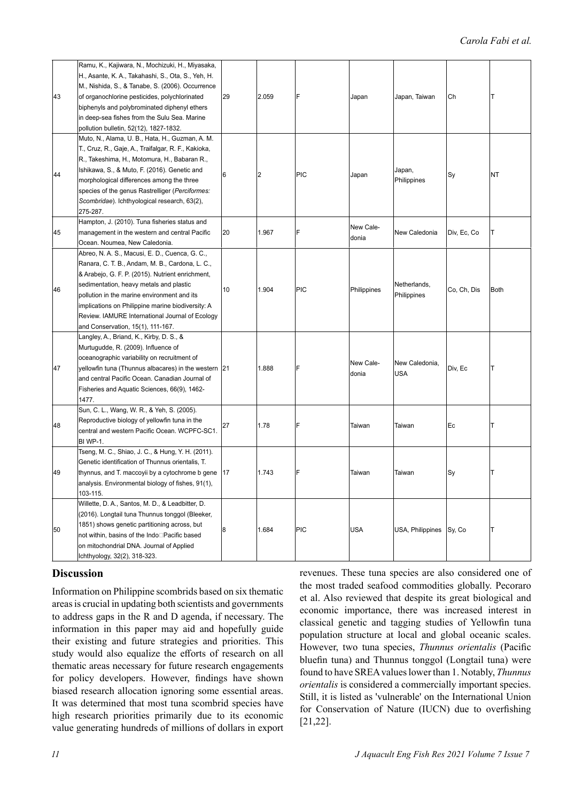| 43 | Ramu, K., Kajiwara, N., Mochizuki, H., Miyasaka,<br>H., Asante, K. A., Takahashi, S., Ota, S., Yeh, H.<br>M., Nishida, S., & Tanabe, S. (2006). Occurrence<br>of organochlorine pesticides, polychlorinated<br>biphenyls and polybrominated diphenyl ethers<br>in deep-sea fishes from the Sulu Sea. Marine<br>pollution bulletin, 52(12), 1827-1832.                                        | 29 | 2.059                   | F          | Japan              | Japan, Taiwan               | Сh          | т           |
|----|----------------------------------------------------------------------------------------------------------------------------------------------------------------------------------------------------------------------------------------------------------------------------------------------------------------------------------------------------------------------------------------------|----|-------------------------|------------|--------------------|-----------------------------|-------------|-------------|
| 44 | Muto, N., Alama, U. B., Hata, H., Guzman, A. M.<br>T., Cruz, R., Gaje, A., Traifalgar, R. F., Kakioka,<br>R., Takeshima, H., Motomura, H., Babaran R.,<br>Ishikawa, S., & Muto, F. (2016). Genetic and<br>morphological differences among the three<br>species of the genus Rastrelliger (Perciformes:<br>Scombridae). Ichthyological research, 63(2),<br>275-287.                           | 6  | $\overline{\mathbf{c}}$ | <b>PIC</b> | Japan              | Japan,<br>Philippines       | Sy          | NT          |
| 45 | Hampton, J. (2010). Tuna fisheries status and<br>management in the western and central Pacific<br>Ocean. Noumea, New Caledonia.                                                                                                                                                                                                                                                              | 20 | 1.967                   | F          | New Cale-<br>donia | New Caledonia               | Div, Ec, Co | т           |
| 46 | Abreo, N. A. S., Macusi, E. D., Cuenca, G. C.,<br>Ranara, C. T. B., Andam, M. B., Cardona, L. C.,<br>& Arabejo, G. F. P. (2015). Nutrient enrichment,<br>sedimentation, heavy metals and plastic<br>pollution in the marine environment and its<br>implications on Philippine marine biodiversity: A<br>Review. IAMURE International Journal of Ecology<br>and Conservation, 15(1), 111-167. | 10 | 1.904                   | <b>PIC</b> | Philippines        | Netherlands,<br>Philippines | Co, Ch, Dis | <b>Both</b> |
| 47 | Langley, A., Briand, K., Kirby, D. S., &<br>Murtugudde, R. (2009). Influence of<br>oceanographic variability on recruitment of<br>yellowfin tuna (Thunnus albacares) in the western 21<br>and central Pacific Ocean. Canadian Journal of<br>Fisheries and Aquatic Sciences, 66(9), 1462-<br>1477.                                                                                            |    | 1.888                   | F          | New Cale-<br>donia | New Caledonia,<br>USA       | Div, Ec     | lT.         |
| 48 | Sun, C. L., Wang, W. R., & Yeh, S. (2005).<br>Reproductive biology of yellowfin tuna in the<br>central and western Pacific Ocean. WCPFC-SC1.<br><b>BI WP-1.</b>                                                                                                                                                                                                                              | 27 | 1.78                    | F          | Taiwan             | Taiwan                      | Ec          | т           |
| 49 | Tseng, M. C., Shiao, J. C., & Hung, Y. H. (2011).<br>Genetic identification of Thunnus orientalis, T.<br>thynnus, and T. maccoyii by a cytochrome b gene 17<br>analysis. Environmental biology of fishes, 91(1),<br>103-115.                                                                                                                                                                 |    | 1.743                   | F          | Taiwan             | Taiwan                      | Sy          | T           |
| 50 | Willette, D. A., Santos, M. D., & Leadbitter, D.<br>(2016). Longtail tuna Thunnus tonggol (Bleeker,<br>1851) shows genetic partitioning across, but<br>not within, basins of the Indo□Pacific based<br>on mitochondrial DNA. Journal of Applied<br>Ichthyology, 32(2), 318-323.                                                                                                              | 8  | 1.684                   | PIC        | USA                | USA, Philippines            | Sy, Co      | т           |

# **Discussion**

Information on Philippine scombrids based on six thematic areas is crucial in updating both scientists and governments to address gaps in the R and D agenda, if necessary. The information in this paper may aid and hopefully guide their existing and future strategies and priorities. This study would also equalize the efforts of research on all thematic areas necessary for future research engagements for policy developers. However, findings have shown biased research allocation ignoring some essential areas. It was determined that most tuna scombrid species have high research priorities primarily due to its economic value generating hundreds of millions of dollars in export revenues. These tuna species are also considered one of the most traded seafood commodities globally. Pecoraro et al. Also reviewed that despite its great biological and economic importance, there was increased interest in classical genetic and tagging studies of Yellowfin tuna population structure at local and global oceanic scales. However, two tuna species, *Thunnus orientalis* (Pacific bluefin tuna) and Thunnus tonggol (Longtail tuna) were found to have SREA values lower than 1. Notably, *Thunnus orientalis* is considered a commercially important species. Still, it is listed as 'vulnerable' on the International Union for Conservation of Nature (IUCN) due to overfishing [21,22].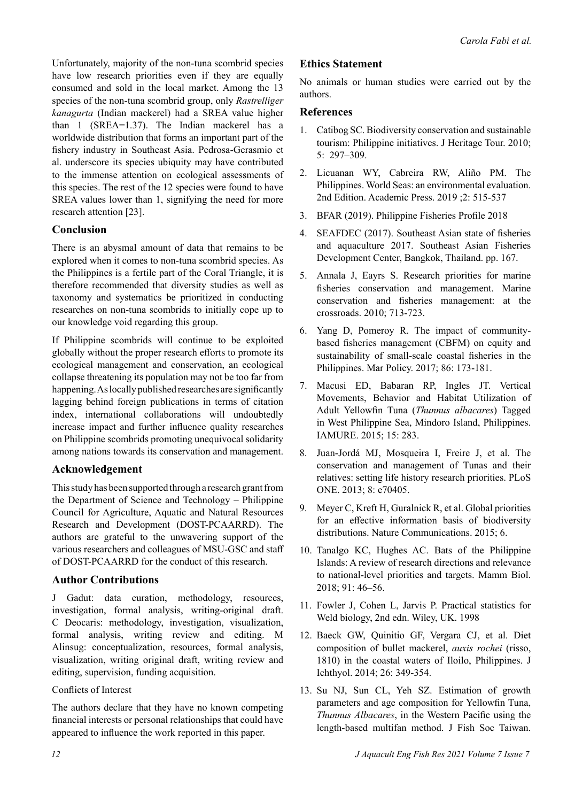Unfortunately, majority of the non-tuna scombrid species have low research priorities even if they are equally consumed and sold in the local market. Among the 13 species of the non-tuna scombrid group, only *Rastrelliger kanagurta* (Indian mackerel) had a SREA value higher than 1 (SREA=1.37). The Indian mackerel has a worldwide distribution that forms an important part of the fishery industry in Southeast Asia. Pedrosa-Gerasmio et al. underscore its species ubiquity may have contributed to the immense attention on ecological assessments of this species. The rest of the 12 species were found to have SREA values lower than 1, signifying the need for more research attention [23].

# **Conclusion**

There is an abysmal amount of data that remains to be explored when it comes to non-tuna scombrid species. As the Philippines is a fertile part of the Coral Triangle, it is therefore recommended that diversity studies as well as taxonomy and systematics be prioritized in conducting researches on non-tuna scombrids to initially cope up to our knowledge void regarding this group.

If Philippine scombrids will continue to be exploited globally without the proper research efforts to promote its ecological management and conservation, an ecological collapse threatening its population may not be too far from happening. As locally published researches are significantly lagging behind foreign publications in terms of citation index, international collaborations will undoubtedly increase impact and further influence quality researches on Philippine scombrids promoting unequivocal solidarity among nations towards its conservation and management.

# **Acknowledgement**

This study has been supported through a research grant from the Department of Science and Technology – Philippine Council for Agriculture, Aquatic and Natural Resources Research and Development (DOST-PCAARRD). The authors are grateful to the unwavering support of the various researchers and colleagues of MSU-GSC and staff of DOST-PCAARRD for the conduct of this research.

# **Author Contributions**

J Gadut: data curation, methodology, resources, investigation, formal analysis, writing-original draft. C Deocaris: methodology, investigation, visualization, formal analysis, writing review and editing. M Alinsug: conceptualization, resources, formal analysis, visualization, writing original draft, writing review and editing, supervision, funding acquisition.

# Conflicts of Interest

The authors declare that they have no known competing financial interests or personal relationships that could have appeared to influence the work reported in this paper.

# **Ethics Statement**

No animals or human studies were carried out by the authors.

# **References**

- 1. [Catibog SC. Biodiversity conservation and sustainable](https://doi.org/10.1080/1743873X.2010.517841)  [tourism: Philippine initiatives. J Heritage Tour. 2010;](https://doi.org/10.1080/1743873X.2010.517841)  [5: 297–309.](https://doi.org/10.1080/1743873X.2010.517841)
- 2. Licuanan WY, Cabreira RW, Aliño PM. The Philippines. World Seas: an environmental evaluation. 2nd Edition. Academic Press. 2019 ;2: 515-537
- 3. BFAR (2019). Philippine Fisheries Profile 2018
- 4. SEAFDEC (2017). Southeast Asian state of fisheries and aquaculture 2017. Southeast Asian Fisheries Development Center, Bangkok, Thailand. pp. 167.
- 5. Annala J, Eayrs S. Research priorities for marine fisheries conservation and management. Marine conservation and fisheries management: at the crossroads. 2010; 713-723.
- 6. Yang D, Pomeroy R. The impact of communityba[sed fisheries management \(CBFM\) on equity and](https://doi.org/10.1016/j.marpol.2017.09.027)  [sustainability of s](https://doi.org/10.1016/j.marpol.2017.09.027)mall-scale coastal fisheries in the Philippines. Mar Policy. 2017; 86: 173-181.
- 7. [Macusi ED, Babaran RP, Ingles JT. Vertical](http://dx.doi.org/10.7718/ijec.v15i1.1007)  [Movements, Behavior and Habitat Utilization of](http://dx.doi.org/10.7718/ijec.v15i1.1007)  [Adult Yellowfin Tuna \(](http://dx.doi.org/10.7718/ijec.v15i1.1007)*Thunnus albacares*) Tagged [in West Philippine Se](http://dx.doi.org/10.7718/ijec.v15i1.1007)a, Mindoro Island, Philippines. IAMURE. 2015; 15: 283.
- 8. Juan-Jordá MJ, Mosqueira I, Freire J, et al. The conse[rvation and management of Tunas and their](https://doi.org/10.1371/journal.pone.0070405)  [relatives: setting life history research priorities. PLoS](https://doi.org/10.1371/journal.pone.0070405)  [ONE. 2013; 8: e70405.](https://doi.org/10.1371/journal.pone.0070405)
- 9. Meyer [C, Kreft H, Guralnick R, et al. Global priorities](https://doi.org/10.1038/ncomms9221)  [for an effective information basis of biodiversity](https://doi.org/10.1038/ncomms9221)  [distributions. Nature Co](https://doi.org/10.1038/ncomms9221)mmunications. 2015; 6.
- 10. Tanalgo KC, Hughes AC. Bats of the Philippine Islands: [A review of research directions and relevance](https://doi.org/10.1016/j.mambio.2018.03.005)  [to national-level prioriti](https://doi.org/10.1016/j.mambio.2018.03.005)es and targets. Mamm Biol. 2018; 91: 46–56.
- 11. Fowler J, Cohen L, Jarvis P. Practical statistics for Weld biology, 2nd edn. Wiley, UK. 1998
- 12. Baeck GW, Quinitio GF, Vergara CJ, et al. Diet composition of bullet mackerel, *auxis rochei* (risso, 1810) in the coastal waters of Iloilo, Philippines. J Ichthyol. 2014; 26: 349-354.
- 13. Su NJ, [Sun CL, Yeh SZ. Estimation of growth](http://dx.doi.org/10.4194/1303-2712-v14_1_12)  [parameters and age composition for Yellowfin Tuna,](http://dx.doi.org/10.4194/1303-2712-v14_1_12)  *Thunnus Albacares*[, in the Western Pacific using the](http://dx.doi.org/10.4194/1303-2712-v14_1_12)  [length-based multifan](http://dx.doi.org/10.4194/1303-2712-v14_1_12) method. J Fish Soc Taiwan.